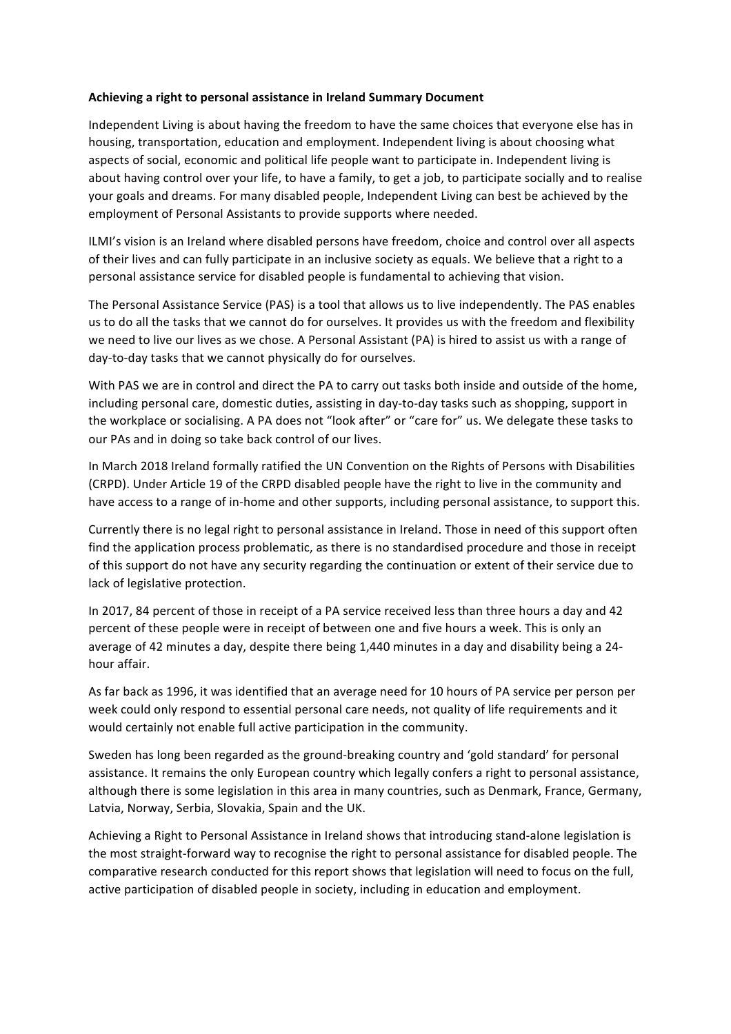## Achieving a right to personal assistance in Ireland Summary Document

Independent Living is about having the freedom to have the same choices that everyone else has in housing, transportation, education and employment. Independent living is about choosing what aspects of social, economic and political life people want to participate in. Independent living is about having control over your life, to have a family, to get a job, to participate socially and to realise your goals and dreams. For many disabled people, Independent Living can best be achieved by the employment of Personal Assistants to provide supports where needed.

ILMI's vision is an Ireland where disabled persons have freedom, choice and control over all aspects of their lives and can fully participate in an inclusive society as equals. We believe that a right to a personal assistance service for disabled people is fundamental to achieving that vision.

The Personal Assistance Service (PAS) is a tool that allows us to live independently. The PAS enables us to do all the tasks that we cannot do for ourselves. It provides us with the freedom and flexibility we need to live our lives as we chose. A Personal Assistant (PA) is hired to assist us with a range of day-to-day tasks that we cannot physically do for ourselves.

With PAS we are in control and direct the PA to carry out tasks both inside and outside of the home, including personal care, domestic duties, assisting in day-to-day tasks such as shopping, support in the workplace or socialising. A PA does not "look after" or "care for" us. We delegate these tasks to our PAs and in doing so take back control of our lives.

In March 2018 Ireland formally ratified the UN Convention on the Rights of Persons with Disabilities (CRPD). Under Article 19 of the CRPD disabled people have the right to live in the community and have access to a range of in-home and other supports, including personal assistance, to support this.

Currently there is no legal right to personal assistance in Ireland. Those in need of this support often find the application process problematic, as there is no standardised procedure and those in receipt of this support do not have any security regarding the continuation or extent of their service due to lack of legislative protection.

In 2017, 84 percent of those in receipt of a PA service received less than three hours a day and 42 percent of these people were in receipt of between one and five hours a week. This is only an average of 42 minutes a day, despite there being 1,440 minutes in a day and disability being a 24hour affair.

As far back as 1996, it was identified that an average need for 10 hours of PA service per person per week could only respond to essential personal care needs, not quality of life requirements and it would certainly not enable full active participation in the community.

Sweden has long been regarded as the ground-breaking country and 'gold standard' for personal assistance. It remains the only European country which legally confers a right to personal assistance, although there is some legislation in this area in many countries, such as Denmark, France, Germany, Latvia, Norway, Serbia, Slovakia, Spain and the UK.

Achieving a Right to Personal Assistance in Ireland shows that introducing stand-alone legislation is the most straight-forward way to recognise the right to personal assistance for disabled people. The comparative research conducted for this report shows that legislation will need to focus on the full, active participation of disabled people in society, including in education and employment.